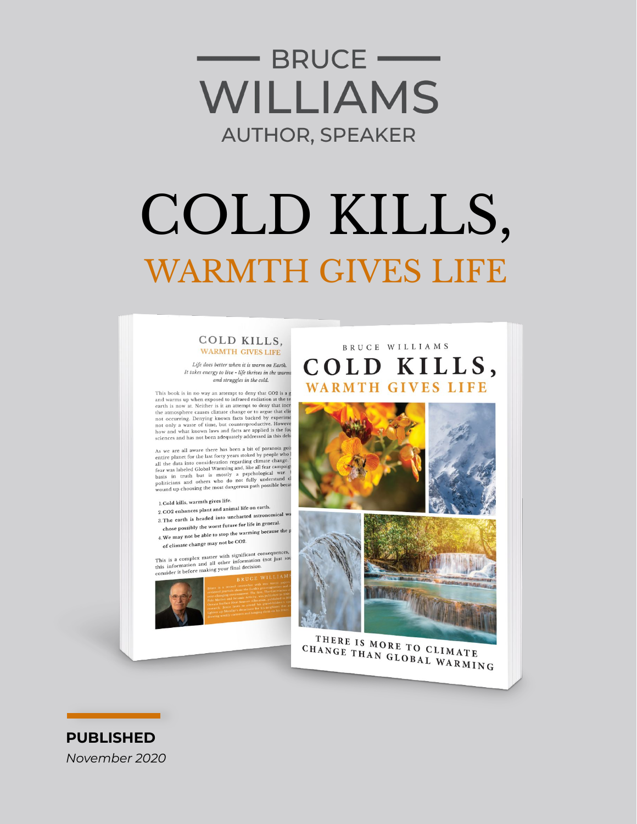

# COLD KILLS, **WARMTH GIVES LIFE**

#### COLD KILLS. **WARMTH GIVES LIFE**

Life does better when it is warm on Earth. It takes energy to live - life thrives in the warm and struggles in the cold.

This book is in no way an attempt to deny that CO2 is a g This book is in to way an attempt to energy that CO2 is a game.<br>This condition at the teach is now at. Neither is it an attempt to deny that increase each is now at. Neither is it an attempt to deny that increase of the an

As we are all aware there has been a bit of paranoia goin<br>entire planet for the last forty years stoked by people who l<br>all the data into consideration regarding climate change.<br>fear was labeled Global Warming and, like al

- 1. Cold kills, warmth gives life.
- 2.CO2 enhances plant and animal life on earth. 3. The earth is headed into uncharted astronomical w
- chose possibly the worst future for life in general.
- 4. We may not be able to stop the warming because the p of climate change may not be CO2.

This is a complex matter with significant consequences,<br>this information and all other information (not just so<br>consider it before making your final decision.









THERE IS MORE TO CLIMATE CHANGE THAN GLOBAL WARMING

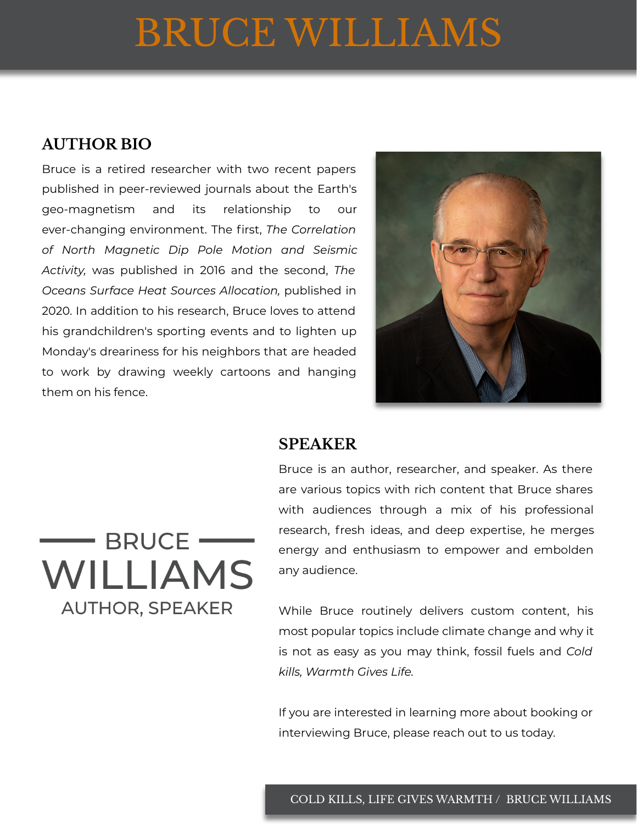## BRUCE WILLIAMS

#### **AUTHOR BIO**

Bruce is a retired researcher with two recent papers published in peer-reviewed journals about the Earth's geo-magnetism and its relationship to our ever-changing environment. The first, *The Correlation of North Magnetic Dip Pole Motion and Seismic Activity,* was published in 2016 and the second, *The Oceans Surface Heat Sources Allocation,* published in 2020. In addition to his research, Bruce loves to attend his grandchildren's sporting events and to lighten up Monday's dreariness for his neighbors that are headed to work by drawing weekly cartoons and hanging them on his fence.



#### **SPEAKER**

#### Bruce is an author, researcher, and speaker. As there are various topics with rich content that Bruce shares with audiences through a mix of his professional research, fresh ideas, and deep expertise, he merges energy and enthusiasm to empower and embolden any audience.

While Bruce routinely delivers custom content, his most popular topics include climate change and why it is not as easy as you may think, fossil fuels and *Cold kills, Warmth Gives Life.*

If you are interested in learning more about booking or interviewing Bruce, please reach out to us today.

### $\longrightarrow$  BRUCE  $\longrightarrow$ **WILLIAMS AUTHOR, SPEAKER**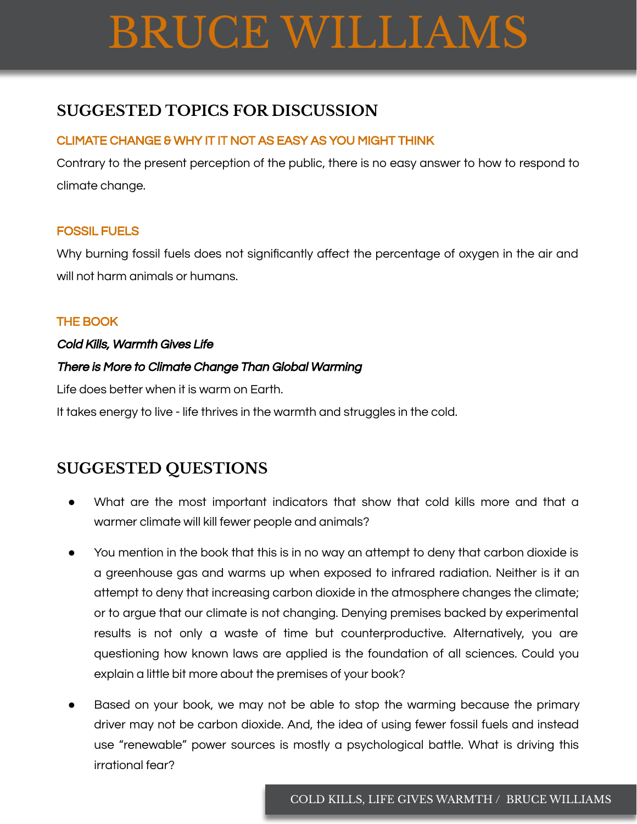# BRUCE WILLIAMS

#### **SUGGESTED TOPICS FOR DISCUSSION**

#### CLIMATE CHANGE & WHY IT IT NOT AS EASY AS YOU MIGHT THINK

Contrary to the present perception of the public, there is no easy answer to how to respond to climate change.

#### FOSSIL FUELS

Why burning fossil fuels does not significantly affect the percentage of oxygen in the air and will not harm animals or humans.

#### THE BOOK

#### Cold Kills, Warmth Gives Life

#### There is More to Climate Change Than Global Warming

Life does better when it is warm on Earth.

It takes energy to live - life thrives in the warmth and struggles in the cold.

#### **SUGGESTED QUESTIONS**

- What are the most important indicators that show that cold kills more and that a warmer climate will kill fewer people and animals?
- You mention in the book that this is in no way an attempt to deny that carbon dioxide is a greenhouse gas and warms up when exposed to infrared radiation. Neither is it an attempt to deny that increasing carbon dioxide in the atmosphere changes the climate; or to argue that our climate is not changing. Denying premises backed by experimental results is not only a waste of time but counterproductive. Alternatively, you are questioning how known laws are applied is the foundation of all sciences. Could you explain a little bit more about the premises of your book?
- Based on your book, we may not be able to stop the warming because the primary driver may not be carbon dioxide. And, the idea of using fewer fossil fuels and instead use "renewable" power sources is mostly a psychological battle. What is driving this irrational fear?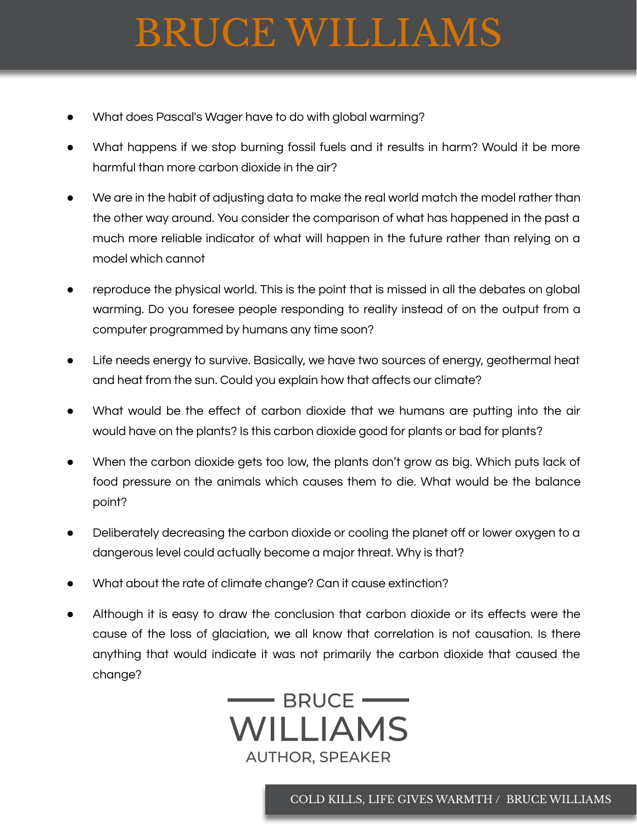# BRUCE WILLIAMS

- What does Pascal's Wager have to do with global warming?
- What happens if we stop burning fossil fuels and it results in harm? Would it be more harmful than more carbon dioxide in the air?
- We are in the habit of adjusting data to make the real world match the model rather than the other way around. You consider the comparison of what has happened in the past a much more reliable indicator of what will happen in the future rather than relying on a model which cannot
- reproduce the physical world. This is the point that is missed in all the debates on global warming. Do you foresee people responding to reality instead of on the output from a computer programmed by humans any time soon?
- Life needs energy to survive. Basically, we have two sources of energy, geothermal heat and heat from the sun. Could you explain how that affects our climate?
- What would be the effect of carbon dioxide that we humans are putting into the air would have on the plants? Is this carbon dioxide good for plants or bad for plants?
- When the carbon dioxide gets too low, the plants don't grow as big. Which puts lack of food pressure on the animals which causes them to die. What would be the balance point?
- Deliberately decreasing the carbon dioxide or cooling the planet off or lower oxygen to a dangerous level could actually become a major threat. Why is that?
- What about the rate of climate change? Can it cause extinction?
- Although it is easy to draw the conclusion that carbon dioxide or its effects were the cause of the loss of glaciation, we all know that correlation is not causation. Is there anything that would indicate it was not primarily the carbon dioxide that caused the change?



COLD KILLS, LIFE GIVES WARMTH / BRUCE WILLIAMS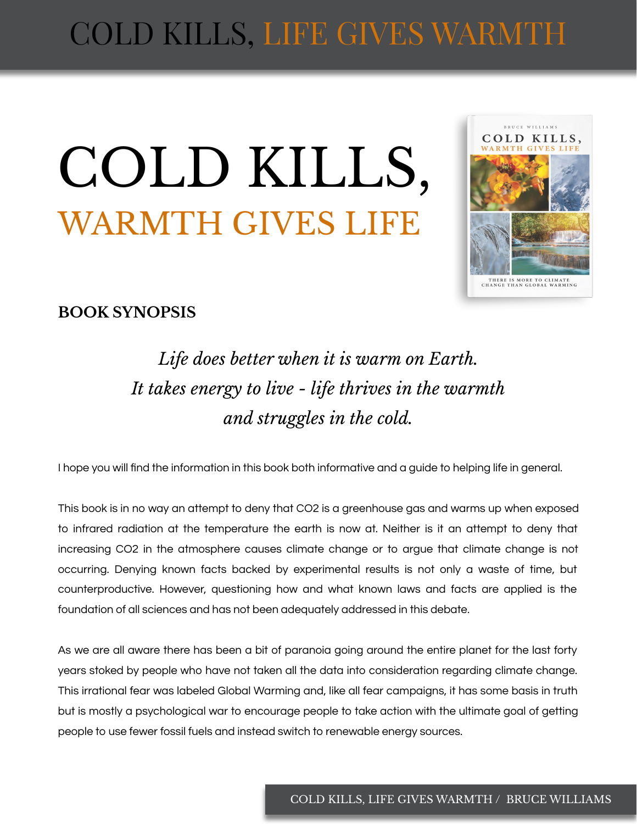## COLD KILLS, LIFE GIVES WARMTH

# COLD KILLS, WARMTH GIVES LIFE



#### **BOOK SYNOPSIS**

*Life does better when it is warm on Earth. It takes energy to live - life thrives in the warmth and struggles in the cold.*

I hope you will find the information in this book both informative and a guide to helping life in general.

This book is in no way an attempt to deny that CO2 is a greenhouse gas and warms up when exposed to infrared radiation at the temperature the earth is now at. Neither is it an attempt to deny that increasing CO2 in the atmosphere causes climate change or to argue that climate change is not occurring. Denying known facts backed by experimental results is not only a waste of time, but counterproductive. However, questioning how and what known laws and facts are applied is the foundation of all sciences and has not been adequately addressed in this debate.

As we are all aware there has been a bit of paranoia going around the entire planet for the last forty years stoked by people who have not taken all the data into consideration regarding climate change. This irrational fear was labeled Global Warming and, like all fear campaigns, it has some basis in truth but is mostly a psychological war to encourage people to take action with the ultimate goal of getting people to use fewer fossil fuels and instead switch to renewable energy sources.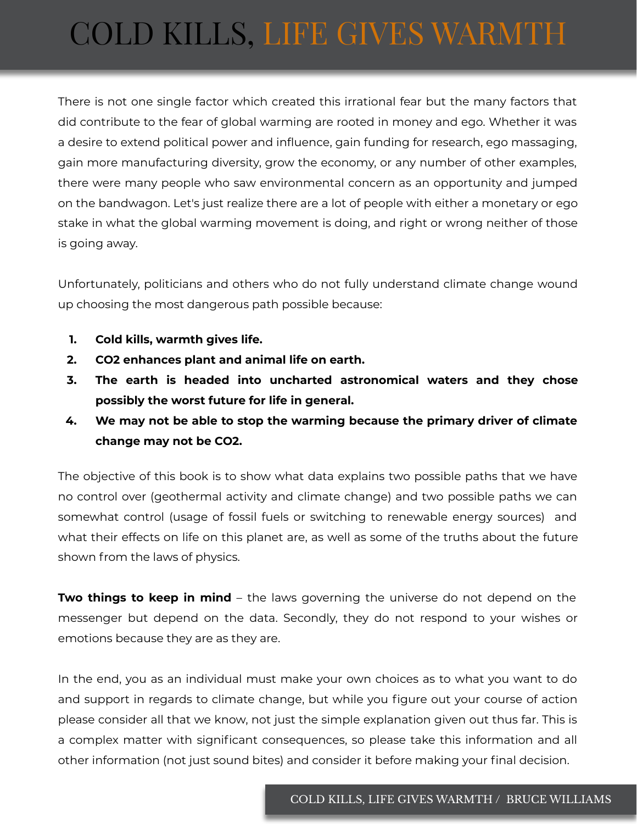### COLD KILLS, LIFE GIVES WARMTH

There is not one single factor which created this irrational fear but the many factors that did contribute to the fear of global warming are rooted in money and ego. Whether it was a desire to extend political power and influence, gain funding for research, ego massaging, gain more manufacturing diversity, grow the economy, or any number of other examples, there were many people who saw environmental concern as an opportunity and jumped on the bandwagon. Let's just realize there are a lot of people with either a monetary or ego stake in what the global warming movement is doing, and right or wrong neither of those is going away.

Unfortunately, politicians and others who do not fully understand climate change wound up choosing the most dangerous path possible because:

- **1. Cold kills, warmth gives life.**
- **2. CO2 enhances plant and animal life on earth.**
- **3. The earth is headed into uncharted astronomical waters and they chose possibly the worst future for life in general.**
- **4. We may not be able to stop the warming because the primary driver of climate change may not be CO2.**

The objective of this book is to show what data explains two possible paths that we have no control over (geothermal activity and climate change) and two possible paths we can somewhat control (usage of fossil fuels or switching to renewable energy sources) and what their effects on life on this planet are, as well as some of the truths about the future shown from the laws of physics.

**Two things to keep in mind** – the laws governing the universe do not depend on the messenger but depend on the data. Secondly, they do not respond to your wishes or emotions because they are as they are.

In the end, you as an individual must make your own choices as to what you want to do and support in regards to climate change, but while you figure out your course of action please consider all that we know, not just the simple explanation given out thus far. This is a complex matter with significant consequences, so please take this information and all other information (not just sound bites) and consider it before making your final decision.